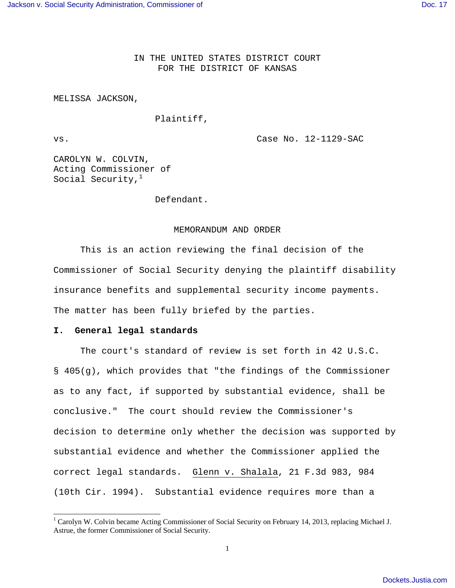IN THE UNITED STATES DISTRICT COURT FOR THE DISTRICT OF KANSAS

MELISSA JACKSON,

### Plaintiff,

 $\overline{a}$ 

vs. Case No. 12-1129-SAC

CAROLYN W. COLVIN, Acting Commissioner of Social Security, $<sup>1</sup>$ </sup>

Defendant.

#### MEMORANDUM AND ORDER

 This is an action reviewing the final decision of the Commissioner of Social Security denying the plaintiff disability insurance benefits and supplemental security income payments. The matter has been fully briefed by the parties.

#### **I. General legal standards**

 The court's standard of review is set forth in 42 U.S.C. § 405(g), which provides that "the findings of the Commissioner as to any fact, if supported by substantial evidence, shall be conclusive." The court should review the Commissioner's decision to determine only whether the decision was supported by substantial evidence and whether the Commissioner applied the correct legal standards. Glenn v. Shalala, 21 F.3d 983, 984 (10th Cir. 1994). Substantial evidence requires more than a

<sup>&</sup>lt;sup>1</sup> Carolyn W. Colvin became Acting Commissioner of Social Security on February 14, 2013, replacing Michael J. Astrue, the former Commissioner of Social Security.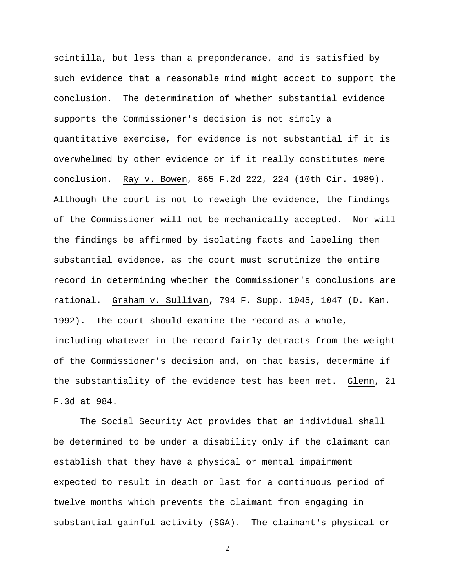scintilla, but less than a preponderance, and is satisfied by such evidence that a reasonable mind might accept to support the conclusion. The determination of whether substantial evidence supports the Commissioner's decision is not simply a quantitative exercise, for evidence is not substantial if it is overwhelmed by other evidence or if it really constitutes mere conclusion. Ray v. Bowen, 865 F.2d 222, 224 (10th Cir. 1989). Although the court is not to reweigh the evidence, the findings of the Commissioner will not be mechanically accepted. Nor will the findings be affirmed by isolating facts and labeling them substantial evidence, as the court must scrutinize the entire record in determining whether the Commissioner's conclusions are rational. Graham v. Sullivan, 794 F. Supp. 1045, 1047 (D. Kan. 1992). The court should examine the record as a whole, including whatever in the record fairly detracts from the weight of the Commissioner's decision and, on that basis, determine if the substantiality of the evidence test has been met. Glenn, 21 F.3d at 984.

 The Social Security Act provides that an individual shall be determined to be under a disability only if the claimant can establish that they have a physical or mental impairment expected to result in death or last for a continuous period of twelve months which prevents the claimant from engaging in substantial gainful activity (SGA). The claimant's physical or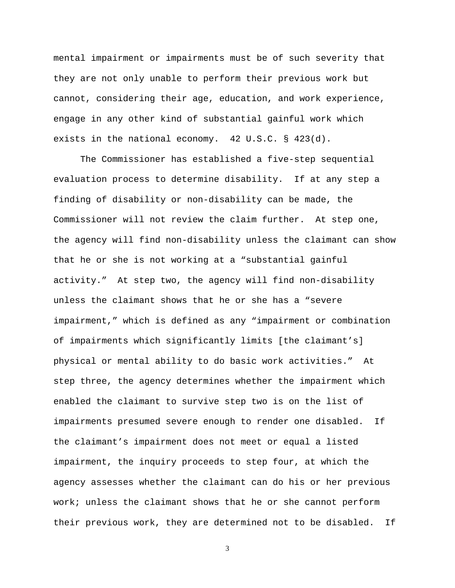mental impairment or impairments must be of such severity that they are not only unable to perform their previous work but cannot, considering their age, education, and work experience, engage in any other kind of substantial gainful work which exists in the national economy. 42 U.S.C. § 423(d).

 The Commissioner has established a five-step sequential evaluation process to determine disability. If at any step a finding of disability or non-disability can be made, the Commissioner will not review the claim further. At step one, the agency will find non-disability unless the claimant can show that he or she is not working at a "substantial gainful activity." At step two, the agency will find non-disability unless the claimant shows that he or she has a "severe impairment," which is defined as any "impairment or combination of impairments which significantly limits [the claimant's] physical or mental ability to do basic work activities." At step three, the agency determines whether the impairment which enabled the claimant to survive step two is on the list of impairments presumed severe enough to render one disabled. If the claimant's impairment does not meet or equal a listed impairment, the inquiry proceeds to step four, at which the agency assesses whether the claimant can do his or her previous work; unless the claimant shows that he or she cannot perform their previous work, they are determined not to be disabled. If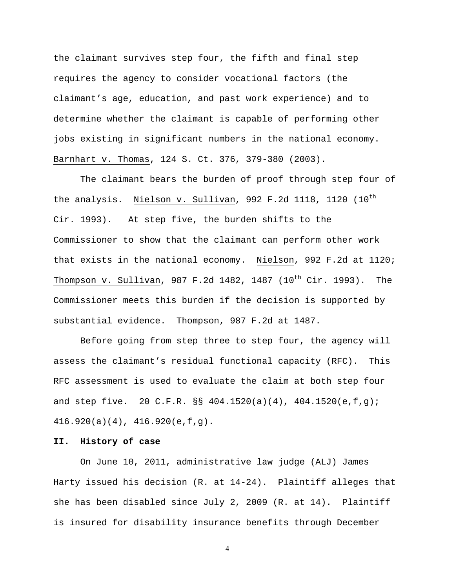the claimant survives step four, the fifth and final step requires the agency to consider vocational factors (the claimant's age, education, and past work experience) and to determine whether the claimant is capable of performing other jobs existing in significant numbers in the national economy. Barnhart v. Thomas, 124 S. Ct. 376, 379-380 (2003).

 The claimant bears the burden of proof through step four of the analysis. Nielson v. Sullivan, 992 F.2d 1118, 1120 (10<sup>th</sup> Cir. 1993). At step five, the burden shifts to the Commissioner to show that the claimant can perform other work that exists in the national economy. Nielson, 992 F.2d at 1120; Thompson v. Sullivan, 987 F.2d 1482, 1487 (10<sup>th</sup> Cir. 1993). The Commissioner meets this burden if the decision is supported by substantial evidence. Thompson, 987 F.2d at 1487.

 Before going from step three to step four, the agency will assess the claimant's residual functional capacity (RFC). This RFC assessment is used to evaluate the claim at both step four and step five. 20 C.F.R. §§ 404.1520(a)(4), 404.1520(e,f,g); 416.920(a)(4), 416.920(e,f,g).

### **II. History of case**

On June 10, 2011, administrative law judge (ALJ) James Harty issued his decision (R. at 14-24). Plaintiff alleges that she has been disabled since July 2, 2009 (R. at 14). Plaintiff is insured for disability insurance benefits through December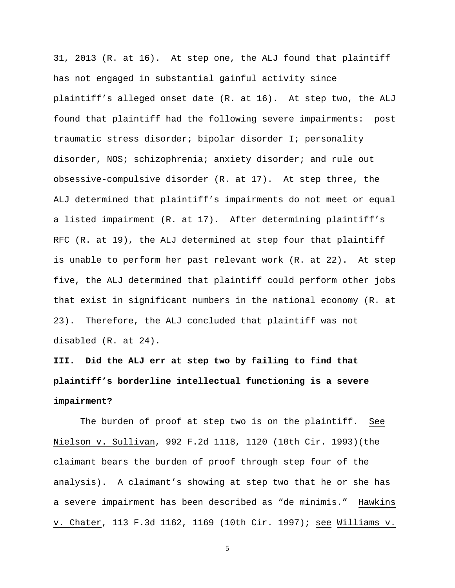31, 2013 (R. at 16). At step one, the ALJ found that plaintiff has not engaged in substantial gainful activity since plaintiff's alleged onset date (R. at 16). At step two, the ALJ found that plaintiff had the following severe impairments: post traumatic stress disorder; bipolar disorder I; personality disorder, NOS; schizophrenia; anxiety disorder; and rule out obsessive-compulsive disorder (R. at 17). At step three, the ALJ determined that plaintiff's impairments do not meet or equal a listed impairment (R. at 17). After determining plaintiff's RFC (R. at 19), the ALJ determined at step four that plaintiff is unable to perform her past relevant work (R. at 22). At step five, the ALJ determined that plaintiff could perform other jobs that exist in significant numbers in the national economy (R. at 23). Therefore, the ALJ concluded that plaintiff was not disabled (R. at 24).

**III. Did the ALJ err at step two by failing to find that plaintiff's borderline intellectual functioning is a severe impairment?** 

The burden of proof at step two is on the plaintiff. See Nielson v. Sullivan, 992 F.2d 1118, 1120 (10th Cir. 1993)(the claimant bears the burden of proof through step four of the analysis). A claimant's showing at step two that he or she has a severe impairment has been described as "de minimis." Hawkins v. Chater, 113 F.3d 1162, 1169 (10th Cir. 1997); see Williams v.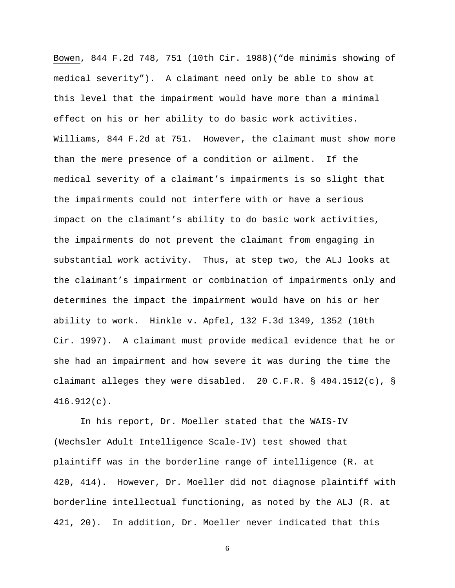Bowen, 844 F.2d 748, 751 (10th Cir. 1988)("de minimis showing of medical severity"). A claimant need only be able to show at this level that the impairment would have more than a minimal effect on his or her ability to do basic work activities. Williams, 844 F.2d at 751. However, the claimant must show more than the mere presence of a condition or ailment. If the medical severity of a claimant's impairments is so slight that the impairments could not interfere with or have a serious impact on the claimant's ability to do basic work activities, the impairments do not prevent the claimant from engaging in substantial work activity. Thus, at step two, the ALJ looks at the claimant's impairment or combination of impairments only and determines the impact the impairment would have on his or her ability to work. Hinkle v. Apfel, 132 F.3d 1349, 1352 (10th Cir. 1997). A claimant must provide medical evidence that he or she had an impairment and how severe it was during the time the claimant alleges they were disabled. 20 C.F.R. § 404.1512(c), § 416.912(c).

 In his report, Dr. Moeller stated that the WAIS-IV (Wechsler Adult Intelligence Scale-IV) test showed that plaintiff was in the borderline range of intelligence (R. at 420, 414). However, Dr. Moeller did not diagnose plaintiff with borderline intellectual functioning, as noted by the ALJ (R. at 421, 20). In addition, Dr. Moeller never indicated that this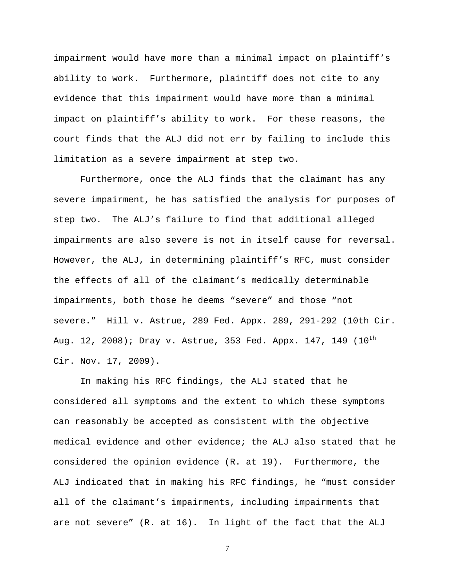impairment would have more than a minimal impact on plaintiff's ability to work. Furthermore, plaintiff does not cite to any evidence that this impairment would have more than a minimal impact on plaintiff's ability to work. For these reasons, the court finds that the ALJ did not err by failing to include this limitation as a severe impairment at step two.

 Furthermore, once the ALJ finds that the claimant has any severe impairment, he has satisfied the analysis for purposes of step two. The ALJ's failure to find that additional alleged impairments are also severe is not in itself cause for reversal. However, the ALJ, in determining plaintiff's RFC, must consider the effects of all of the claimant's medically determinable impairments, both those he deems "severe" and those "not severe." Hill v. Astrue, 289 Fed. Appx. 289, 291-292 (10th Cir. Aug. 12, 2008); Dray v. Astrue, 353 Fed. Appx. 147, 149 (10<sup>th</sup> Cir. Nov. 17, 2009).

 In making his RFC findings, the ALJ stated that he considered all symptoms and the extent to which these symptoms can reasonably be accepted as consistent with the objective medical evidence and other evidence; the ALJ also stated that he considered the opinion evidence (R. at 19). Furthermore, the ALJ indicated that in making his RFC findings, he "must consider all of the claimant's impairments, including impairments that are not severe" (R. at 16). In light of the fact that the ALJ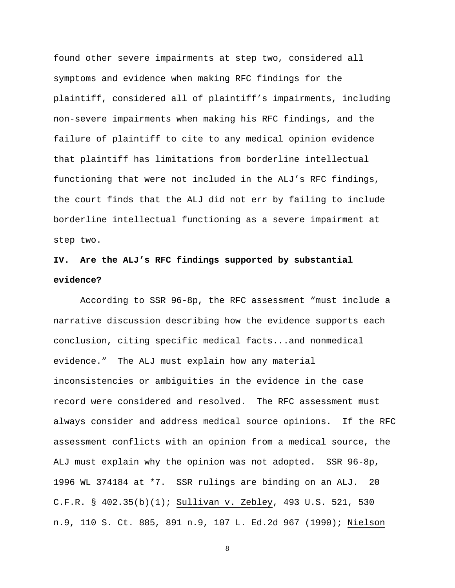found other severe impairments at step two, considered all symptoms and evidence when making RFC findings for the plaintiff, considered all of plaintiff's impairments, including non-severe impairments when making his RFC findings, and the failure of plaintiff to cite to any medical opinion evidence that plaintiff has limitations from borderline intellectual functioning that were not included in the ALJ's RFC findings, the court finds that the ALJ did not err by failing to include borderline intellectual functioning as a severe impairment at step two.

## **IV. Are the ALJ's RFC findings supported by substantial evidence?**

According to SSR 96-8p, the RFC assessment "must include a narrative discussion describing how the evidence supports each conclusion, citing specific medical facts...and nonmedical evidence." The ALJ must explain how any material inconsistencies or ambiguities in the evidence in the case record were considered and resolved. The RFC assessment must always consider and address medical source opinions. If the RFC assessment conflicts with an opinion from a medical source, the ALJ must explain why the opinion was not adopted. SSR 96-8p, 1996 WL 374184 at \*7. SSR rulings are binding on an ALJ. 20 C.F.R. § 402.35(b)(1); Sullivan v. Zebley, 493 U.S. 521, 530 n.9, 110 S. Ct. 885, 891 n.9, 107 L. Ed.2d 967 (1990); Nielson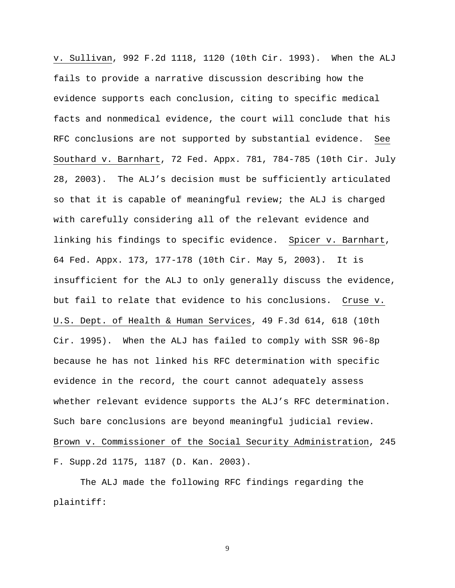v. Sullivan, 992 F.2d 1118, 1120 (10th Cir. 1993). When the ALJ fails to provide a narrative discussion describing how the evidence supports each conclusion, citing to specific medical facts and nonmedical evidence, the court will conclude that his RFC conclusions are not supported by substantial evidence. See Southard v. Barnhart, 72 Fed. Appx. 781, 784-785 (10th Cir. July 28, 2003). The ALJ's decision must be sufficiently articulated so that it is capable of meaningful review; the ALJ is charged with carefully considering all of the relevant evidence and linking his findings to specific evidence. Spicer v. Barnhart, 64 Fed. Appx. 173, 177-178 (10th Cir. May 5, 2003). It is insufficient for the ALJ to only generally discuss the evidence, but fail to relate that evidence to his conclusions. Cruse v. U.S. Dept. of Health & Human Services, 49 F.3d 614, 618 (10th Cir. 1995). When the ALJ has failed to comply with SSR 96-8p because he has not linked his RFC determination with specific evidence in the record, the court cannot adequately assess whether relevant evidence supports the ALJ's RFC determination. Such bare conclusions are beyond meaningful judicial review. Brown v. Commissioner of the Social Security Administration, 245 F. Supp.2d 1175, 1187 (D. Kan. 2003).

 The ALJ made the following RFC findings regarding the plaintiff: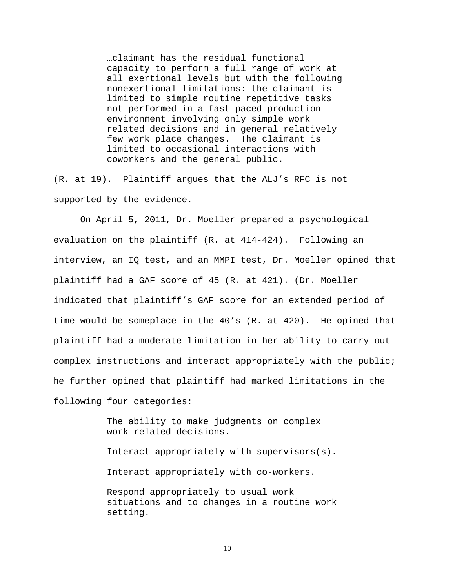…claimant has the residual functional capacity to perform a full range of work at all exertional levels but with the following nonexertional limitations: the claimant is limited to simple routine repetitive tasks not performed in a fast-paced production environment involving only simple work related decisions and in general relatively few work place changes. The claimant is limited to occasional interactions with coworkers and the general public.

(R. at 19). Plaintiff argues that the ALJ's RFC is not supported by the evidence.

 On April 5, 2011, Dr. Moeller prepared a psychological evaluation on the plaintiff (R. at 414-424). Following an interview, an IQ test, and an MMPI test, Dr. Moeller opined that plaintiff had a GAF score of 45 (R. at 421). (Dr. Moeller indicated that plaintiff's GAF score for an extended period of time would be someplace in the 40's (R. at 420). He opined that plaintiff had a moderate limitation in her ability to carry out complex instructions and interact appropriately with the public; he further opined that plaintiff had marked limitations in the following four categories:

> The ability to make judgments on complex work-related decisions.

Interact appropriately with supervisors(s).

Interact appropriately with co-workers.

Respond appropriately to usual work situations and to changes in a routine work setting.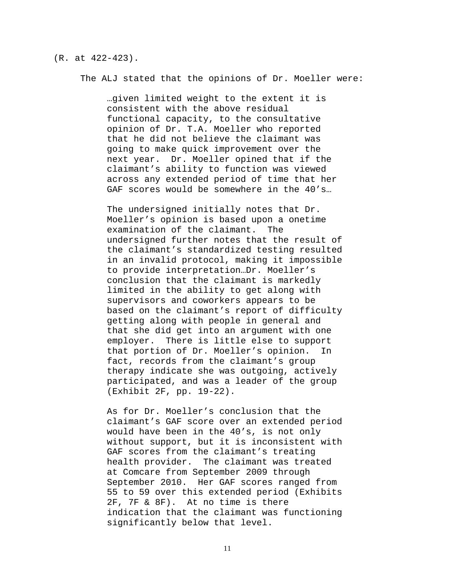#### (R. at 422-423).

The ALJ stated that the opinions of Dr. Moeller were:

…given limited weight to the extent it is consistent with the above residual functional capacity, to the consultative opinion of Dr. T.A. Moeller who reported that he did not believe the claimant was going to make quick improvement over the next year. Dr. Moeller opined that if the claimant's ability to function was viewed across any extended period of time that her GAF scores would be somewhere in the 40's...

The undersigned initially notes that Dr. Moeller's opinion is based upon a onetime examination of the claimant. The undersigned further notes that the result of the claimant's standardized testing resulted in an invalid protocol, making it impossible to provide interpretation…Dr. Moeller's conclusion that the claimant is markedly limited in the ability to get along with supervisors and coworkers appears to be based on the claimant's report of difficulty getting along with people in general and that she did get into an argument with one employer. There is little else to support that portion of Dr. Moeller's opinion. In fact, records from the claimant's group therapy indicate she was outgoing, actively participated, and was a leader of the group (Exhibit 2F, pp. 19-22).

As for Dr. Moeller's conclusion that the claimant's GAF score over an extended period would have been in the 40's, is not only without support, but it is inconsistent with GAF scores from the claimant's treating health provider. The claimant was treated at Comcare from September 2009 through September 2010. Her GAF scores ranged from 55 to 59 over this extended period (Exhibits 2F, 7F & 8F). At no time is there indication that the claimant was functioning significantly below that level.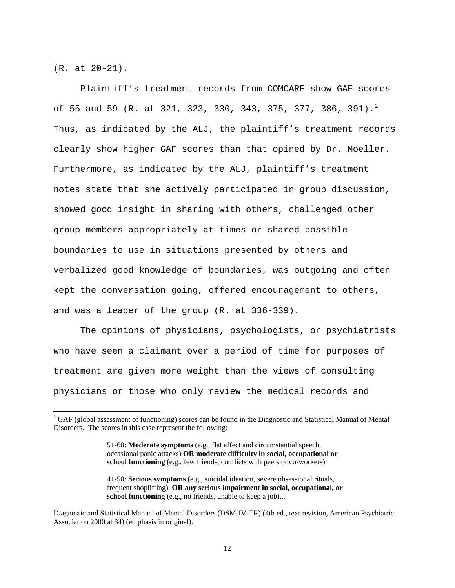(R. at 20-21).

 $\overline{a}$ 

 Plaintiff's treatment records from COMCARE show GAF scores of 55 and 59 (R. at 321, 323, 330, 343, 375, 377, 386, 391).<sup>2</sup> Thus, as indicated by the ALJ, the plaintiff's treatment records clearly show higher GAF scores than that opined by Dr. Moeller. Furthermore, as indicated by the ALJ, plaintiff's treatment notes state that she actively participated in group discussion, showed good insight in sharing with others, challenged other group members appropriately at times or shared possible boundaries to use in situations presented by others and verbalized good knowledge of boundaries, was outgoing and often kept the conversation going, offered encouragement to others, and was a leader of the group (R. at 336-339).

 The opinions of physicians, psychologists, or psychiatrists who have seen a claimant over a period of time for purposes of treatment are given more weight than the views of consulting physicians or those who only review the medical records and

 $2^2$  GAF (global assessment of functioning) scores can be found in the Diagnostic and Statistical Manual of Mental Disorders. The scores in this case represent the following:

<sup>51-60:</sup> **Moderate symptoms** (e.g., flat affect and circumstantial speech, occasional panic attacks) **OR moderate difficulty in social, occupational or school functioning** (e.g., few friends, conflicts with peers or co-workers).

<sup>41-50:</sup> **Serious symptoms** (e.g., suicidal ideation, severe obsessional rituals, frequent shoplifting), **OR any serious impairment in social, occupational, or school functioning** (e.g., no friends, unable to keep a job)...

Diagnostic and Statistical Manual of Mental Disorders (DSM-IV-TR) (4th ed., text revision, American Psychiatric Association 2000 at 34) (emphasis in original).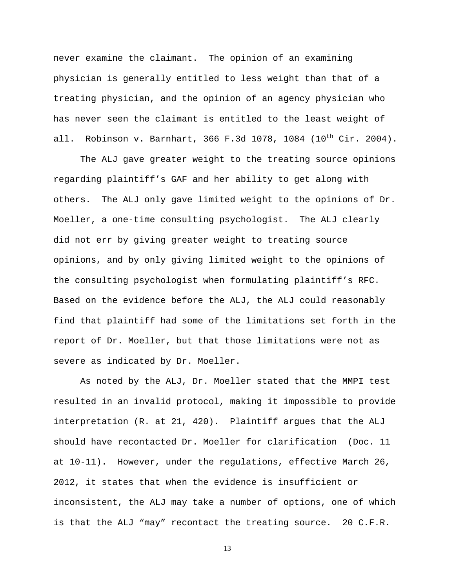never examine the claimant. The opinion of an examining physician is generally entitled to less weight than that of a treating physician, and the opinion of an agency physician who has never seen the claimant is entitled to the least weight of all. Robinson v. Barnhart, 366 F.3d 1078, 1084  $(10^{th}$  Cir. 2004).

 The ALJ gave greater weight to the treating source opinions regarding plaintiff's GAF and her ability to get along with others. The ALJ only gave limited weight to the opinions of Dr. Moeller, a one-time consulting psychologist. The ALJ clearly did not err by giving greater weight to treating source opinions, and by only giving limited weight to the opinions of the consulting psychologist when formulating plaintiff's RFC. Based on the evidence before the ALJ, the ALJ could reasonably find that plaintiff had some of the limitations set forth in the report of Dr. Moeller, but that those limitations were not as severe as indicated by Dr. Moeller.

 As noted by the ALJ, Dr. Moeller stated that the MMPI test resulted in an invalid protocol, making it impossible to provide interpretation (R. at 21, 420). Plaintiff argues that the ALJ should have recontacted Dr. Moeller for clarification (Doc. 11 at 10-11). However, under the regulations, effective March 26, 2012, it states that when the evidence is insufficient or inconsistent, the ALJ may take a number of options, one of which is that the ALJ "may" recontact the treating source. 20 C.F.R.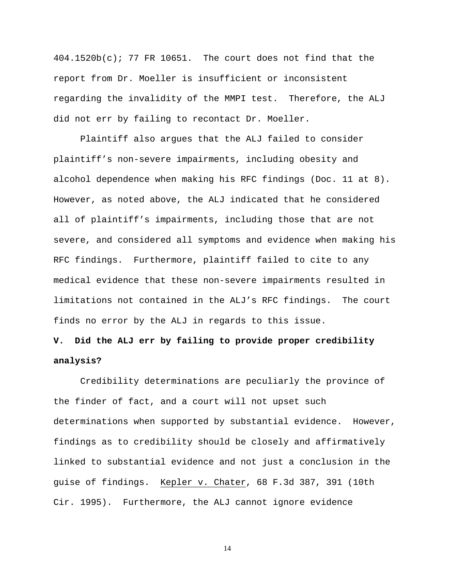404.1520b(c); 77 FR 10651. The court does not find that the report from Dr. Moeller is insufficient or inconsistent regarding the invalidity of the MMPI test. Therefore, the ALJ did not err by failing to recontact Dr. Moeller.

 Plaintiff also argues that the ALJ failed to consider plaintiff's non-severe impairments, including obesity and alcohol dependence when making his RFC findings (Doc. 11 at 8). However, as noted above, the ALJ indicated that he considered all of plaintiff's impairments, including those that are not severe, and considered all symptoms and evidence when making his RFC findings. Furthermore, plaintiff failed to cite to any medical evidence that these non-severe impairments resulted in limitations not contained in the ALJ's RFC findings. The court finds no error by the ALJ in regards to this issue.

# **V. Did the ALJ err by failing to provide proper credibility analysis?**

Credibility determinations are peculiarly the province of the finder of fact, and a court will not upset such determinations when supported by substantial evidence. However, findings as to credibility should be closely and affirmatively linked to substantial evidence and not just a conclusion in the guise of findings. Kepler v. Chater, 68 F.3d 387, 391 (10th Cir. 1995). Furthermore, the ALJ cannot ignore evidence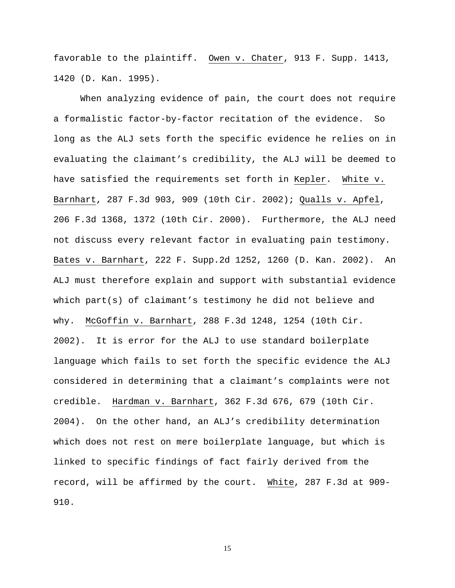favorable to the plaintiff. Owen v. Chater, 913 F. Supp. 1413, 1420 (D. Kan. 1995).

 When analyzing evidence of pain, the court does not require a formalistic factor-by-factor recitation of the evidence. So long as the ALJ sets forth the specific evidence he relies on in evaluating the claimant's credibility, the ALJ will be deemed to have satisfied the requirements set forth in Kepler. White v. Barnhart, 287 F.3d 903, 909 (10th Cir. 2002); Qualls v. Apfel, 206 F.3d 1368, 1372 (10th Cir. 2000). Furthermore, the ALJ need not discuss every relevant factor in evaluating pain testimony. Bates v. Barnhart, 222 F. Supp.2d 1252, 1260 (D. Kan. 2002). An ALJ must therefore explain and support with substantial evidence which part(s) of claimant's testimony he did not believe and why. McGoffin v. Barnhart, 288 F.3d 1248, 1254 (10th Cir. 2002). It is error for the ALJ to use standard boilerplate language which fails to set forth the specific evidence the ALJ considered in determining that a claimant's complaints were not credible. Hardman v. Barnhart, 362 F.3d 676, 679 (10th Cir. 2004). On the other hand, an ALJ's credibility determination which does not rest on mere boilerplate language, but which is linked to specific findings of fact fairly derived from the record, will be affirmed by the court. White, 287 F.3d at 909- 910.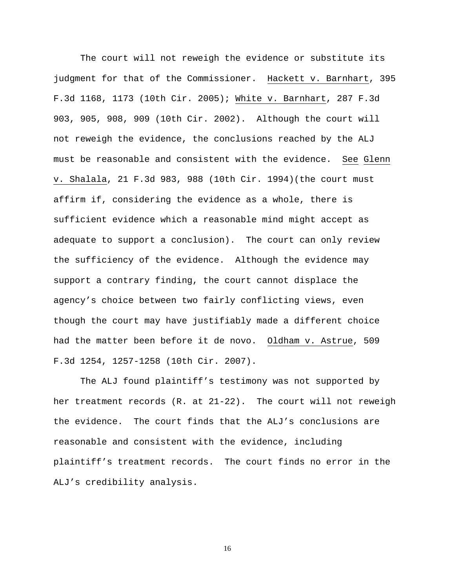The court will not reweigh the evidence or substitute its judgment for that of the Commissioner. Hackett v. Barnhart, 395 F.3d 1168, 1173 (10th Cir. 2005); White v. Barnhart, 287 F.3d 903, 905, 908, 909 (10th Cir. 2002). Although the court will not reweigh the evidence, the conclusions reached by the ALJ must be reasonable and consistent with the evidence. See Glenn v. Shalala, 21 F.3d 983, 988 (10th Cir. 1994)(the court must affirm if, considering the evidence as a whole, there is sufficient evidence which a reasonable mind might accept as adequate to support a conclusion). The court can only review the sufficiency of the evidence. Although the evidence may support a contrary finding, the court cannot displace the agency's choice between two fairly conflicting views, even though the court may have justifiably made a different choice had the matter been before it de novo. Oldham v. Astrue, 509 F.3d 1254, 1257-1258 (10th Cir. 2007).

 The ALJ found plaintiff's testimony was not supported by her treatment records (R. at 21-22). The court will not reweigh the evidence. The court finds that the ALJ's conclusions are reasonable and consistent with the evidence, including plaintiff's treatment records. The court finds no error in the ALJ's credibility analysis.